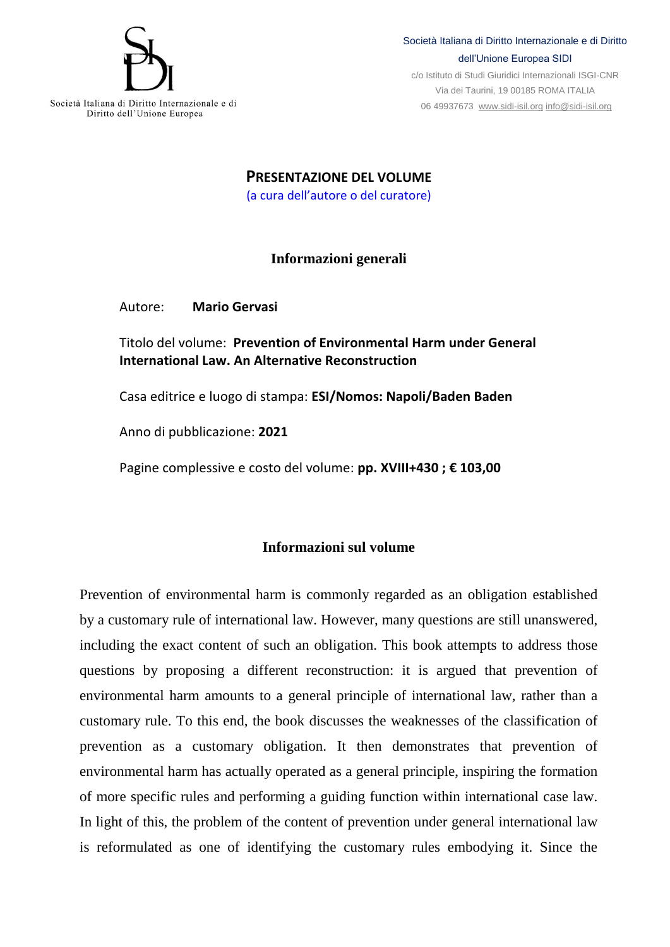

Società Italiana di Diritto Internazionale e di Diritto dell'Unione Europea

Società Italiana di Diritto Internazionale e di Diritto dell'Unione Europea SIDI

c/o Istituto di Studi Giuridici Internazionali ISGI-CNR Via dei Taurini, 19 00185 ROMA ITALIA 06 49937673 [www.sidi-isil.org](http://www.sidi-isil.org/) [info@sidi-isil.org](mailto:info@sidi-isil.org)

**PRESENTAZIONE DEL VOLUME** (a cura dell'autore o del curatore)

## **Informazioni generali**

Autore: **Mario Gervasi**

Titolo del volume: **Prevention of Environmental Harm under General International Law. An Alternative Reconstruction**

Casa editrice e luogo di stampa: **ESI/Nomos: Napoli/Baden Baden** 

Anno di pubblicazione: **2021**

Pagine complessive e costo del volume: **pp. XVIII+430 ; € 103,00**

## **Informazioni sul volume**

Prevention of environmental harm is commonly regarded as an obligation established by a customary rule of international law. However, many questions are still unanswered, including the exact content of such an obligation. This book attempts to address those questions by proposing a different reconstruction: it is argued that prevention of environmental harm amounts to a general principle of international law, rather than a customary rule. To this end, the book discusses the weaknesses of the classification of prevention as a customary obligation. It then demonstrates that prevention of environmental harm has actually operated as a general principle, inspiring the formation of more specific rules and performing a guiding function within international case law. In light of this, the problem of the content of prevention under general international law is reformulated as one of identifying the customary rules embodying it. Since the